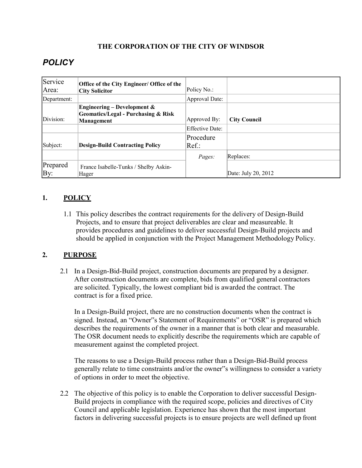#### **THE CORPORATION OF THE CITY OF WINDSOR**

# *POLICY*

| Service         | Office of the City Engineer/ Office of the                                                             |                 |                     |
|-----------------|--------------------------------------------------------------------------------------------------------|-----------------|---------------------|
| Area:           | <b>City Solicitor</b>                                                                                  | Policy No.:     |                     |
| Department:     |                                                                                                        | Approval Date:  |                     |
| Division:       | <b>Engineering – Development &amp;</b><br><b>Geomatics/Legal - Purchasing &amp; Risk</b><br>Management | Approved By:    | <b>City Council</b> |
|                 |                                                                                                        | Effective Date: |                     |
|                 |                                                                                                        | Procedure       |                     |
| Subject:        | <b>Design-Build Contracting Policy</b>                                                                 | $Ref.$ :        |                     |
|                 |                                                                                                        | Pages:          | Replaces:           |
| Prepared<br>By: | France Isabelle-Tunks / Shelby Askin-<br>Hager                                                         |                 | Date: July 20, 2012 |

## **1. POLICY**

1.1 This policy describes the contract requirements for the delivery of Design-Build Projects, and to ensure that project deliverables are clear and measureable. It provides procedures and guidelines to deliver successful Design-Build projects and should be applied in conjunction with the Project Management Methodology Policy.

#### **2. PURPOSE**

2.1 In a Design-Bid-Build project, construction documents are prepared by a designer. After construction documents are complete, bids from qualified general contractors are solicited. Typically, the lowest compliant bid is awarded the contract. The contract is for a fixed price.

In a Design-Build project, there are no construction documents when the contract is signed. Instead, an "Owner"s Statement of Requirements" or "OSR" is prepared which describes the requirements of the owner in a manner that is both clear and measurable. The OSR document needs to explicitly describe the requirements which are capable of measurement against the completed project.

The reasons to use a Design-Build process rather than a Design-Bid-Build process generally relate to time constraints and/or the owner"s willingness to consider a variety of options in order to meet the objective.

2.2 The objective of this policy is to enable the Corporation to deliver successful Design-Build projects in compliance with the required scope, policies and directives of City Council and applicable legislation. Experience has shown that the most important factors in delivering successful projects is to ensure projects are well defined up front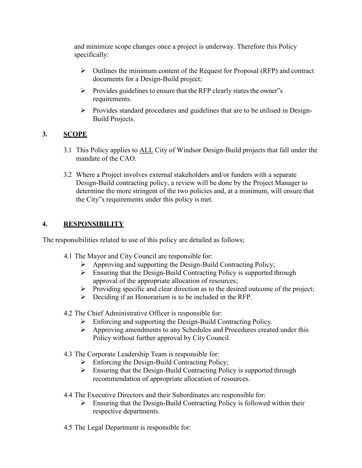and minimize scope changes once a project is underway. Therefore this Policy specifically:

- $\triangleright$  Outlines the minimum content of the Request for Proposal (RFP) and contract documents for a Design-Build project;
- $\triangleright$  Provides guidelines to ensure that the RFP clearly states the owner"s requirements.
- $\triangleright$  Provides standard procedures and guidelines that are to be utilised in Design-Build Projects.

## **3. SCOPE**

- 3.1 This Policy applies to ALL City of Windsor Design-Build projects that fall under the mandate of the CAO.
- 3.2 Where a Project involves external stakeholders and/or funders with a separate Design-Build contracting policy, a review will be done by the Project Manager to determine the more stringent of the two policies and, at a minimum, will ensure that the City"s requirements under this policy is met.

## **4. RESPONSIBILITY**

The responsibilities related to use of this policy are detailed as follows;

- 4.1 The Mayor and City Council are responsible for:
	- $\triangleright$  Approving and supporting the Design-Build Contracting Policy;
	- $\triangleright$  Ensuring that the Design-Build Contracting Policy is supported through approval of the appropriate allocation of resources;
	- $\triangleright$  Providing specific and clear direction as to the desired outcome of the project;
	- $\triangleright$  Deciding if an Honorarium is to be included in the RFP.
- 4.2 The Chief Administrative Officer is responsible for:
	- ⮚ Enforcing and supporting the Design-Build Contracting Policy.
	- $\triangleright$  Approving amendments to any Schedules and Procedures created under this Policy without further approval by City Council.
- 4.3 The Corporate Leadership Team is responsible for:
	- $\triangleright$  Enforcing the Design-Build Contracting Policy;
	- $\triangleright$  Ensuring that the Design-Build Contracting Policy is supported through recommendation of appropriate allocation of resources.
- 4.4 The Executive Directors and their Subordinates are responsible for:
	- $\triangleright$  Ensuring that the Design-Build Contracting Policy is followed within their respective departments.
- 4.5 The Legal Department is responsible for: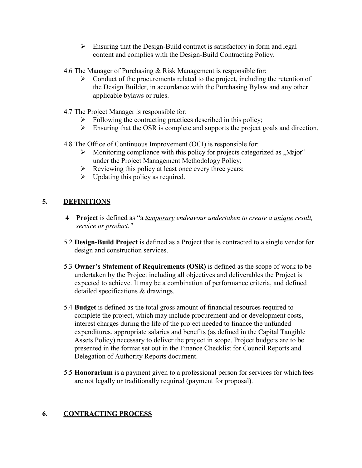- $\triangleright$  Ensuring that the Design-Build contract is satisfactory in form and legal content and complies with the Design-Build Contracting Policy.
- 4.6 The Manager of Purchasing & Risk Management is responsible for:
	- $\triangleright$  Conduct of the procurements related to the project, including the retention of the Design Builder, in accordance with the Purchasing Bylaw and any other applicable bylaws or rules.
- 4.7 The Project Manager is responsible for:
	- $\triangleright$  Following the contracting practices described in this policy;
	- $\triangleright$  Ensuring that the OSR is complete and supports the project goals and direction.
- 4.8 The Office of Continuous Improvement (OCI) is responsible for:
	- $\triangleright$  Monitoring compliance with this policy for projects categorized as  $\mathcal{M}$  Major" under the Project Management Methodology Policy;
	- $\triangleright$  Reviewing this policy at least once every three years;
	- $\triangleright$  Updating this policy as required.

## **5. DEFINITIONS**

- **4 Project** is defined as "a *t*e*mporary endeavour undertaken to create a unique result, service or product."*
- 5.2 **Design-Build Project** is defined as a Project that is contracted to a single vendor for design and construction services.
- 5.3 **Owner's Statement of Requirements (OSR)** is defined as the scope of work to be undertaken by the Project including all objectives and deliverables the Project is expected to achieve. It may be a combination of performance criteria, and defined detailed specifications & drawings.
- 5.4 **Budget** is defined as the total gross amount of financial resources required to complete the project, which may include procurement and or development costs, interest charges during the life of the project needed to finance the unfunded expenditures, appropriate salaries and benefits (as defined in the Capital Tangible Assets Policy) necessary to deliver the project in scope. Project budgets are to be presented in the format set out in the Finance Checklist for Council Reports and Delegation of Authority Reports document.
- 5.5 **Honorarium** is a payment given to a professional person for services for which fees are not legally or traditionally required (payment for proposal).

## **6. CONTRACTING PROCESS**